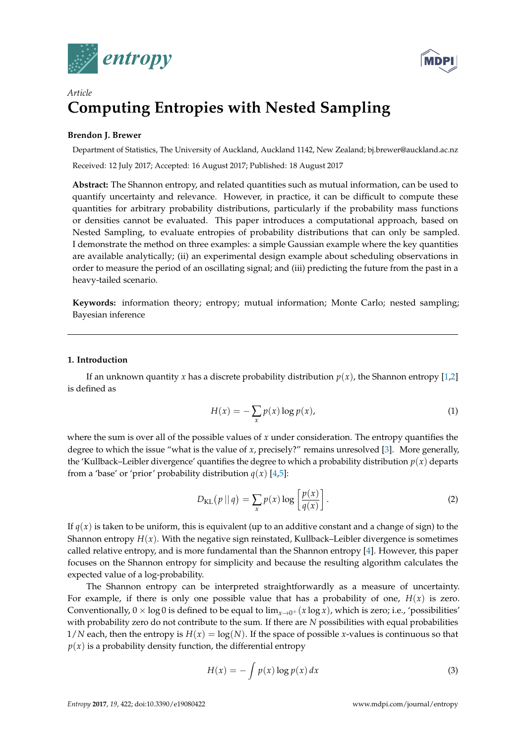



# *Article* **Computing Entropies with Nested Sampling**

# **Brendon J. Brewer**

Department of Statistics, The University of Auckland, Auckland 1142, New Zealand; bj.brewer@auckland.ac.nz Received: 12 July 2017; Accepted: 16 August 2017; Published: 18 August 2017

**Abstract:** The Shannon entropy, and related quantities such as mutual information, can be used to quantify uncertainty and relevance. However, in practice, it can be difficult to compute these quantities for arbitrary probability distributions, particularly if the probability mass functions or densities cannot be evaluated. This paper introduces a computational approach, based on Nested Sampling, to evaluate entropies of probability distributions that can only be sampled. I demonstrate the method on three examples: a simple Gaussian example where the key quantities are available analytically; (ii) an experimental design example about scheduling observations in order to measure the period of an oscillating signal; and (iii) predicting the future from the past in a heavy-tailed scenario.

**Keywords:** information theory; entropy; mutual information; Monte Carlo; nested sampling; Bayesian inference

# **1. Introduction**

If an unknown quantity *x* has a discrete probability distribution  $p(x)$ , the Shannon entropy [\[1](#page-16-0)[,2\]](#page-16-1) is defined as

$$
H(x) = -\sum_{x} p(x) \log p(x), \tag{1}
$$

where the sum is over all of the possible values of *x* under consideration. The entropy quantifies the degree to which the issue "what is the value of *x*, precisely?" remains unresolved [\[3\]](#page-16-2). More generally, the 'Kullback–Leibler divergence' quantifies the degree to which a probability distribution  $p(x)$  departs from a 'base' or 'prior' probability distribution  $q(x)$  [\[4,](#page-16-3)[5\]](#page-16-4):

$$
D_{\text{KL}}(p \mid q) = \sum_{x} p(x) \log \left[ \frac{p(x)}{q(x)} \right].
$$
 (2)

If  $q(x)$  is taken to be uniform, this is equivalent (up to an additive constant and a change of sign) to the Shannon entropy  $H(x)$ . With the negative sign reinstated, Kullback–Leibler divergence is sometimes called relative entropy, and is more fundamental than the Shannon entropy [\[4\]](#page-16-3). However, this paper focuses on the Shannon entropy for simplicity and because the resulting algorithm calculates the expected value of a log-probability.

The Shannon entropy can be interpreted straightforwardly as a measure of uncertainty. For example, if there is only one possible value that has a probability of one,  $H(x)$  is zero. Conventionally,  $0 \times \log 0$  is defined to be equal to  $\lim_{x \to 0^+} (x \log x)$ , which is zero; i.e., 'possibilities' with probability zero do not contribute to the sum. If there are *N* possibilities with equal probabilities  $1/N$  each, then the entropy is  $H(x) = \log(N)$ . If the space of possible *x*-values is continuous so that  $p(x)$  is a probability density function, the differential entropy

$$
H(x) = -\int p(x) \log p(x) dx
$$
 (3)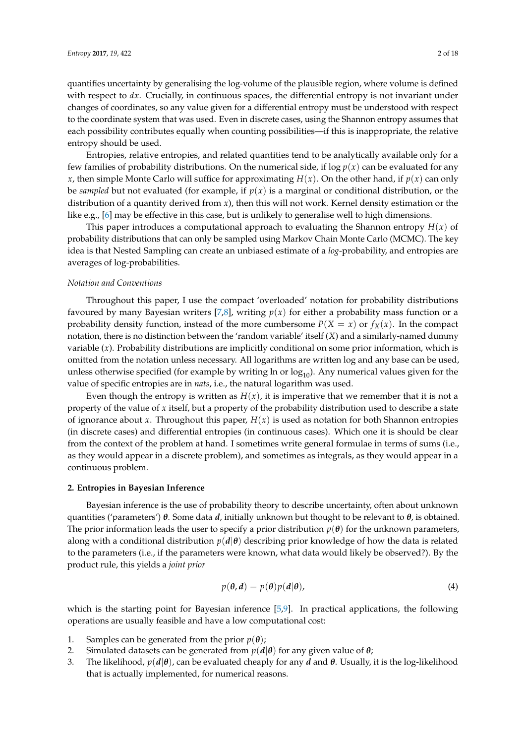quantifies uncertainty by generalising the log-volume of the plausible region, where volume is defined with respect to *dx*. Crucially, in continuous spaces, the differential entropy is not invariant under changes of coordinates, so any value given for a differential entropy must be understood with respect to the coordinate system that was used. Even in discrete cases, using the Shannon entropy assumes that each possibility contributes equally when counting possibilities—if this is inappropriate, the relative entropy should be used.

Entropies, relative entropies, and related quantities tend to be analytically available only for a few families of probability distributions. On the numerical side, if  $\log p(x)$  can be evaluated for any *x*, then simple Monte Carlo will suffice for approximating  $H(x)$ . On the other hand, if  $p(x)$  can only be *sampled* but not evaluated (for example, if  $p(x)$  is a marginal or conditional distribution, or the distribution of a quantity derived from *x*), then this will not work. Kernel density estimation or the like e.g., [\[6\]](#page-16-5) may be effective in this case, but is unlikely to generalise well to high dimensions.

This paper introduces a computational approach to evaluating the Shannon entropy *H*(*x*) of probability distributions that can only be sampled using Markov Chain Monte Carlo (MCMC). The key idea is that Nested Sampling can create an unbiased estimate of a *log*-probability, and entropies are averages of log-probabilities.

### *Notation and Conventions*

Throughout this paper, I use the compact 'overloaded' notation for probability distributions favoured by many Bayesian writers [\[7](#page-16-6)[,8\]](#page-16-7), writing  $p(x)$  for either a probability mass function or a probability density function, instead of the more cumbersome  $P(X = x)$  or  $f_X(x)$ . In the compact notation, there is no distinction between the 'random variable' itself (*X*) and a similarly-named dummy variable (*x*). Probability distributions are implicitly conditional on some prior information, which is omitted from the notation unless necessary. All logarithms are written log and any base can be used, unless otherwise specified (for example by writing  $\ln$  or  $\log_{10}$ ). Any numerical values given for the value of specific entropies are in *nats*, i.e., the natural logarithm was used.

Even though the entropy is written as  $H(x)$ , it is imperative that we remember that it is not a property of the value of *x* itself, but a property of the probability distribution used to describe a state of ignorance about *x*. Throughout this paper,  $H(x)$  is used as notation for both Shannon entropies (in discrete cases) and differential entropies (in continuous cases). Which one it is should be clear from the context of the problem at hand. I sometimes write general formulae in terms of sums (i.e., as they would appear in a discrete problem), and sometimes as integrals, as they would appear in a continuous problem.

# **2. Entropies in Bayesian Inference**

Bayesian inference is the use of probability theory to describe uncertainty, often about unknown quantities ('parameters') *θ*. Some data *d*, initially unknown but thought to be relevant to *θ*, is obtained. The prior information leads the user to specify a prior distribution  $p(\theta)$  for the unknown parameters, along with a conditional distribution  $p(d|\theta)$  describing prior knowledge of how the data is related to the parameters (i.e., if the parameters were known, what data would likely be observed?). By the product rule, this yields a *joint prior*

$$
p(\theta, d) = p(\theta)p(d|\theta), \tag{4}
$$

which is the starting point for Bayesian inference [\[5](#page-16-4)[,9\]](#page-16-8). In practical applications, the following operations are usually feasible and have a low computational cost:

- 1. Samples can be generated from the prior  $p(\theta)$ ;
- 2. Simulated datasets can be generated from  $p(d|\theta)$  for any given value of  $\theta$ ;<br>3. The likelihood,  $p(d|\theta)$ , can be evaluated cheaply for any *d* and  $\theta$ . Usually,
- 3. The likelihood, *p*(*d*|*θ*), can be evaluated cheaply for any *d* and *θ*. Usually, it is the log-likelihood that is actually implemented, for numerical reasons.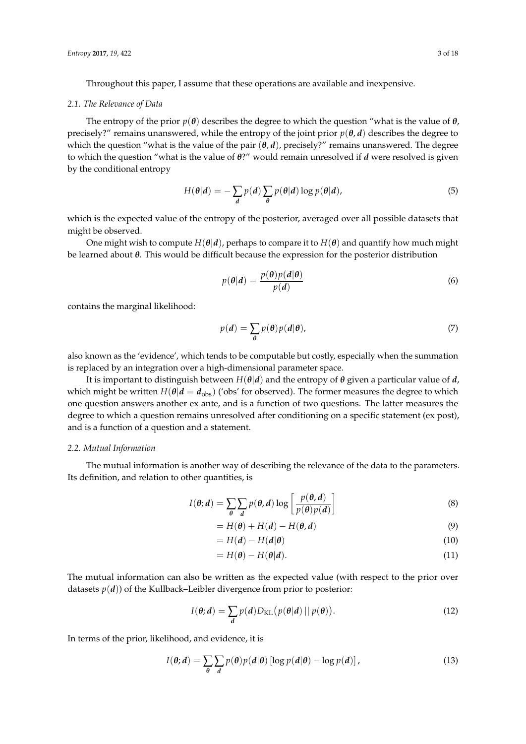Throughout this paper, I assume that these operations are available and inexpensive.

#### *2.1. The Relevance of Data*

The entropy of the prior  $p(\theta)$  describes the degree to which the question "what is the value of  $\theta$ , precisely?" remains unanswered, while the entropy of the joint prior  $p(\theta, d)$  describes the degree to which the question "what is the value of the pair  $(\theta, d)$ , precisely?" remains unanswered. The degree to which the question "what is the value of *θ*?" would remain unresolved if *d* were resolved is given by the conditional entropy

$$
H(\theta|d) = -\sum_{d} p(d) \sum_{\theta} p(\theta|d) \log p(\theta|d), \qquad (5)
$$

which is the expected value of the entropy of the posterior, averaged over all possible datasets that might be observed.

One might wish to compute  $H(\theta|d)$ , perhaps to compare it to  $H(\theta)$  and quantify how much might be learned about *θ*. This would be difficult because the expression for the posterior distribution

$$
p(\theta|d) = \frac{p(\theta)p(d|\theta)}{p(d)}\tag{6}
$$

contains the marginal likelihood:

$$
p(d) = \sum_{\theta} p(\theta) p(d|\theta),
$$
\n(7)

also known as the 'evidence', which tends to be computable but costly, especially when the summation is replaced by an integration over a high-dimensional parameter space.

It is important to distinguish between  $H(\theta|\mathbf{d})$  and the entropy of  $\theta$  given a particular value of *d*, which might be written  $H(\theta|d = d_{obs})$  ('obs' for observed). The former measures the degree to which one question answers another ex ante, and is a function of two questions. The latter measures the degree to which a question remains unresolved after conditioning on a specific statement (ex post), and is a function of a question and a statement.

# *2.2. Mutual Information*

The mutual information is another way of describing the relevance of the data to the parameters. Its definition, and relation to other quantities, is

$$
I(\theta; d) = \sum_{\theta} \sum_{d} p(\theta, d) \log \left[ \frac{p(\theta, d)}{p(\theta) p(d)} \right]
$$
(8)

$$
=H(\boldsymbol{\theta})+H(\boldsymbol{d})-H(\boldsymbol{\theta},\boldsymbol{d})
$$
\n(9)

$$
=H(d)-H(d|\theta)
$$
\n(10)

$$
=H(\boldsymbol{\theta})-H(\boldsymbol{\theta}|\boldsymbol{d}).
$$
\n(11)

The mutual information can also be written as the expected value (with respect to the prior over datasets  $p(d)$ ) of the Kullback–Leibler divergence from prior to posterior:

$$
I(\boldsymbol{\theta};\boldsymbol{d}) = \sum_{\boldsymbol{d}} p(\boldsymbol{d}) D_{\mathrm{KL}}(p(\boldsymbol{\theta}|\boldsymbol{d}) || p(\boldsymbol{\theta})).
$$
\n(12)

In terms of the prior, likelihood, and evidence, it is

$$
I(\boldsymbol{\theta};\boldsymbol{d}) = \sum_{\boldsymbol{\theta}} \sum_{\boldsymbol{d}} p(\boldsymbol{\theta}) p(\boldsymbol{d}|\boldsymbol{\theta}) \left[ \log p(\boldsymbol{d}|\boldsymbol{\theta}) - \log p(\boldsymbol{d}) \right],
$$
 (13)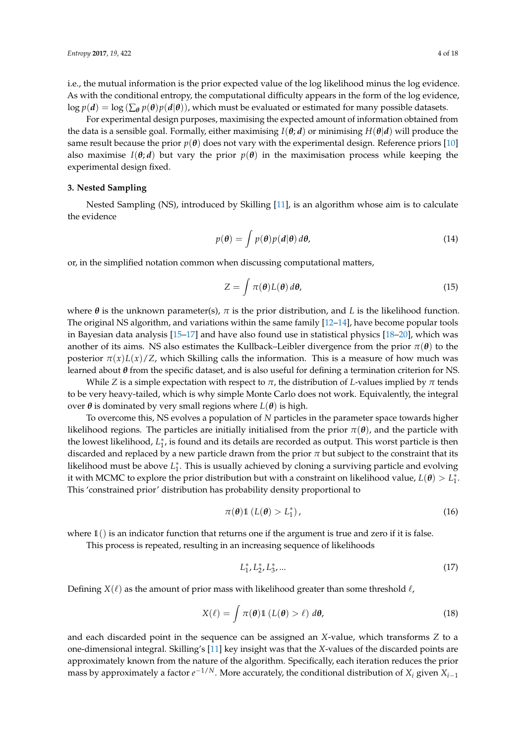i.e., the mutual information is the prior expected value of the log likelihood minus the log evidence. As with the conditional entropy, the computational difficulty appears in the form of the log evidence,  $\log p(d) = \log (\sum_{\theta} p(\theta) p(d|\theta))$ , which must be evaluated or estimated for many possible datasets.

For experimental design purposes, maximising the expected amount of information obtained from the data is a sensible goal. Formally, either maximising  $I(\theta; d)$  or minimising  $H(\theta|d)$  will produce the same result because the prior  $p(\theta)$  does not vary with the experimental design. Reference priors [\[10\]](#page-16-9) also maximise  $I(\theta; d)$  but vary the prior  $p(\theta)$  in the maximisation process while keeping the experimental design fixed.

# **3. Nested Sampling**

Nested Sampling (NS), introduced by Skilling [\[11\]](#page-16-10), is an algorithm whose aim is to calculate the evidence

$$
p(\theta) = \int p(\theta) p(d|\theta) d\theta,
$$
 (14)

or, in the simplified notation common when discussing computational matters,

$$
Z = \int \pi(\boldsymbol{\theta}) L(\boldsymbol{\theta}) d\boldsymbol{\theta}, \qquad (15)
$$

where  $\theta$  is the unknown parameter(s),  $\pi$  is the prior distribution, and *L* is the likelihood function. The original NS algorithm, and variations within the same family [\[12–](#page-16-11)[14\]](#page-16-12), have become popular tools in Bayesian data analysis [\[15–](#page-16-13)[17\]](#page-16-14) and have also found use in statistical physics [\[18–](#page-16-15)[20\]](#page-17-0), which was another of its aims. NS also estimates the Kullback–Leibler divergence from the prior  $\pi(\theta)$  to the posterior  $\pi(x)L(x)/Z$ , which Skilling calls the information. This is a measure of how much was learned about *θ* from the specific dataset, and is also useful for defining a termination criterion for NS.

While *Z* is a simple expectation with respect to  $\pi$ , the distribution of *L*-values implied by  $\pi$  tends to be very heavy-tailed, which is why simple Monte Carlo does not work. Equivalently, the integral over *θ* is dominated by very small regions where  $L(θ)$  is high.

To overcome this, NS evolves a population of *N* particles in the parameter space towards higher likelihood regions. The particles are initially initialised from the prior  $\pi(\theta)$ , and the particle with the lowest likelihood, *L* ∗ 1 , is found and its details are recorded as output. This worst particle is then discarded and replaced by a new particle drawn from the prior  $\pi$  but subject to the constraint that its likelihood must be above *L* ∗ 1 . This is usually achieved by cloning a surviving particle and evolving it with MCMC to explore the prior distribution but with a constraint on likelihood value,  $L(\theta) > L_1^*$ . This 'constrained prior' distribution has probability density proportional to

$$
\pi(\boldsymbol{\theta})\mathbb{1}\left(L(\boldsymbol{\theta})>L_1^*\right),\tag{16}
$$

where  $\mathbb{1}$  () is an indicator function that returns one if the argument is true and zero if it is false.

This process is repeated, resulting in an increasing sequence of likelihoods

$$
L_1^*, L_2^*, L_3^*, \dots \tag{17}
$$

Defining  $X(\ell)$  as the amount of prior mass with likelihood greater than some threshold  $\ell$ ,

$$
X(\ell) = \int \pi(\boldsymbol{\theta}) \mathbb{1} \left( L(\boldsymbol{\theta}) > \ell \right) d\boldsymbol{\theta}, \tag{18}
$$

and each discarded point in the sequence can be assigned an *X*-value, which transforms *Z* to a one-dimensional integral. Skilling's [\[11\]](#page-16-10) key insight was that the *X*-values of the discarded points are approximately known from the nature of the algorithm. Specifically, each iteration reduces the prior mass by approximately a factor  $e^{-1/N}$ . More accurately, the conditional distribution of  $X_i$  given  $X_{i-1}$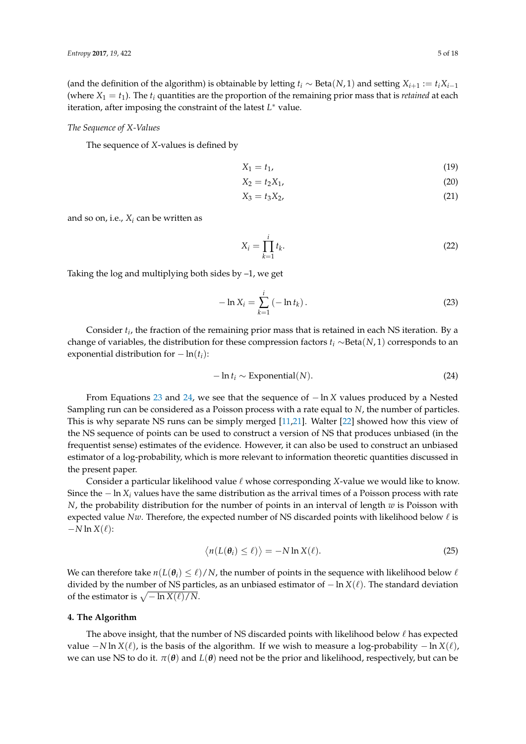(and the definition of the algorithm) is obtainable by letting  $t_i \sim \text{Beta}(N, 1)$  and setting  $X_{i+1} := t_i X_{i-1}$ (where  $X_1 = t_1$ ). The  $t_i$  quantities are the proportion of the remaining prior mass that is *retained* at each iteration, after imposing the constraint of the latest *L* ∗ value.

#### *The Sequence of X-Values*

The sequence of *X*-values is defined by

$$
X_1 = t_1,\tag{19}
$$

$$
X_2 = t_2 X_1, \t\t(20)
$$

$$
X_3 = t_3 X_2, \t\t(21)
$$

and so on, i.e.,  $X_i$  can be written as

<span id="page-4-0"></span>
$$
X_i = \prod_{k=1}^i t_k. \tag{22}
$$

Taking the log and multiplying both sides by –1, we get

$$
-\ln X_i = \sum_{k=1}^{i} (-\ln t_k).
$$
 (23)

Consider *t<sup>i</sup>* , the fraction of the remaining prior mass that is retained in each NS iteration. By a change of variables, the distribution for these compression factors *t<sup>i</sup>* ∼Beta(*N*, 1) corresponds to an exponential distribution for  $-\ln(t_i)$ :

<span id="page-4-1"></span>
$$
-\ln t_i \sim \text{Exponential}(N). \tag{24}
$$

From Equations [23](#page-4-0) and [24,](#page-4-1) we see that the sequence of − ln *X* values produced by a Nested Sampling run can be considered as a Poisson process with a rate equal to *N*, the number of particles. This is why separate NS runs can be simply merged [\[11,](#page-16-10)[21\]](#page-17-1). Walter [\[22\]](#page-17-2) showed how this view of the NS sequence of points can be used to construct a version of NS that produces unbiased (in the frequentist sense) estimates of the evidence. However, it can also be used to construct an unbiased estimator of a log-probability, which is more relevant to information theoretic quantities discussed in the present paper.

Consider a particular likelihood value  $\ell$  whose corresponding *X*-value we would like to know. Since the − ln *X<sup>i</sup>* values have the same distribution as the arrival times of a Poisson process with rate *N*, the probability distribution for the number of points in an interval of length *w* is Poisson with expected value *Nw*. Therefore, the expected number of NS discarded points with likelihood below  $\ell$  is  $-N \ln X(\ell)$ :

$$
\langle n(L(\theta_i) \leq \ell) \rangle = -N \ln X(\ell). \tag{25}
$$

We can therefore take  $n(L(\theta_i) \leq \ell)/N$ , the number of points in the sequence with likelihood below  $\ell$ divided by the number of NS particles, as an unbiased estimator of − ln *X*(`). The standard deviation of the estimator is  $\sqrt{-\ln X(\ell)/N}$ .

## **4. The Algorithm**

The above insight, that the number of NS discarded points with likelihood below  $\ell$  has expected value  $−N \ln X(\ell)$ , is the basis of the algorithm. If we wish to measure a log-probability  $− \ln X(\ell)$ , we can use NS to do it.  $\pi(\theta)$  and  $L(\theta)$  need not be the prior and likelihood, respectively, but can be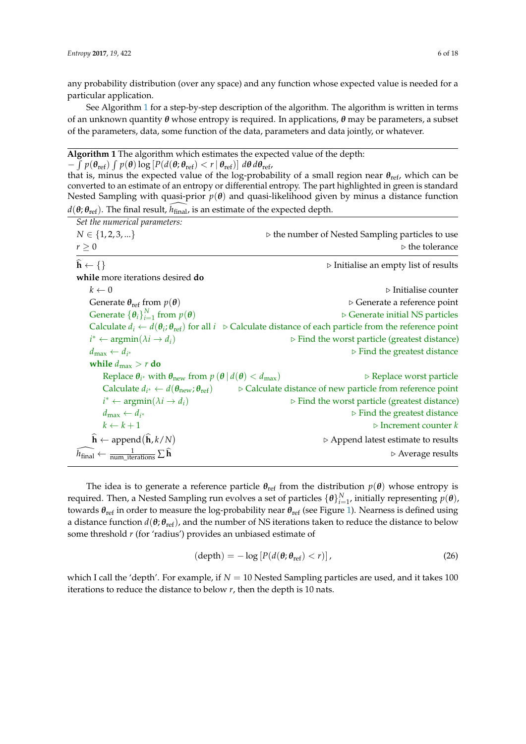any probability distribution (over any space) and any function whose expected value is needed for a particular application.

See Algorithm [1](#page-5-0) for a step-by-step description of the algorithm. The algorithm is written in terms of an unknown quantity *θ* whose entropy is required. In applications, *θ* may be parameters, a subset of the parameters, data, some function of the data, parameters and data jointly, or whatever.

# <span id="page-5-0"></span>**Algorithm 1** The algorithm which estimates the expected value of the depth:

 $-\int p(\theta_{\text{ref}}) \int p(\theta) \log [P(d(\theta, \theta_{\text{ref}}) < r | \theta_{\text{ref}})] d\theta d\theta_{\text{ref}},$ 

that is, minus the expected value of the log-probability of a small region near *θ*ref, which can be converted to an estimate of an entropy or differential entropy. The part highlighted in green is standard Nested Sampling with quasi-prior  $p(\theta)$  and quasi-likelihood given by minus a distance function  $d(\theta; \theta_{\text{ref}})$ . The final result,  $h_{\text{final}}$ , is an estimate of the expected depth.

| Set the numerical parameters:                                                                        |                                                                                                                                               |
|------------------------------------------------------------------------------------------------------|-----------------------------------------------------------------------------------------------------------------------------------------------|
| $N \in \{1, 2, 3, \}$                                                                                | $\triangleright$ the number of Nested Sampling particles to use                                                                               |
| $r\geq 0$                                                                                            | $\triangleright$ the tolerance                                                                                                                |
| $\hat{\mathbf{h}} \leftarrow \{\}$                                                                   | $\triangleright$ Initialise an empty list of results                                                                                          |
| while more iterations desired do                                                                     |                                                                                                                                               |
| $k \leftarrow 0$                                                                                     | $\triangleright$ Initialise counter                                                                                                           |
| Generate $\theta_{ref}$ from $p(\theta)$                                                             | $\triangleright$ Generate a reference point                                                                                                   |
| Generate $\{\boldsymbol{\theta}_i\}_{i=1}^N$ from $p(\boldsymbol{\theta})$                           | $\triangleright$ Generate initial NS particles                                                                                                |
|                                                                                                      | Calculate $d_i \leftarrow d(\theta_i; \theta_{ref})$ for all $i \in \mathcal{C}$ Calculate distance of each particle from the reference point |
| $i^* \leftarrow \operatorname{argmin}(\lambda i \rightarrow d_i)$                                    | $\triangleright$ Find the worst particle (greatest distance)                                                                                  |
| $d_{\max} \leftarrow d_{i^*}$                                                                        | $\triangleright$ Find the greatest distance                                                                                                   |
| while $d_{\max} > r$ do                                                                              |                                                                                                                                               |
| Replace $\theta_{i^*}$ with $\theta_{\text{new}}$ from $p(\theta   d(\theta) < d_{\text{max}})$      | $\triangleright$ Replace worst particle                                                                                                       |
| Calculate $d_{i^*} \leftarrow d(\boldsymbol{\theta}_{\text{new}}; \boldsymbol{\theta}_{\text{ref}})$ | > Calculate distance of new particle from reference point                                                                                     |
| $i^* \leftarrow \operatorname{argmin}(\lambda i \rightarrow d_i)$                                    | $\triangleright$ Find the worst particle (greatest distance)                                                                                  |
| $d_{\max} \leftarrow d_{i^*}$                                                                        | $\triangleright$ Find the greatest distance                                                                                                   |
| $k \leftarrow k+1$                                                                                   | $\triangleright$ Increment counter k                                                                                                          |
| $\hat{\mathbf{h}} \leftarrow \text{append}(\hat{\mathbf{h}}, k/N)$                                   | $\triangleright$ Append latest estimate to results                                                                                            |
| $\widehat{h}_{\text{final}} \leftarrow \frac{1}{\text{num iterations}} \sum \widehat{\mathbf{h}}$    | $\triangleright$ Average results                                                                                                              |

The idea is to generate a reference particle  $\theta_{\text{ref}}$  from the distribution  $p(\theta)$  whose entropy is required. Then, a Nested Sampling run evolves a set of particles  $\{\bm{\theta}\}_{i=1}^N$ , initially representing  $p(\bm{\theta})$ , towards *θ*ref in order to measure the log-probability near *θ*ref (see Figure [1\)](#page-6-0). Nearness is defined using a distance function  $d(\theta; \theta_{\text{ref}})$ , and the number of NS iterations taken to reduce the distance to below some threshold *r* (for 'radius') provides an unbiased estimate of

$$
(\text{depth}) = -\log \left[ P(d(\theta; \theta_{\text{ref}}) < r) \right],\tag{26}
$$

which I call the 'depth'. For example, if  $N = 10$  Nested Sampling particles are used, and it takes 100 iterations to reduce the distance to below *r*, then the depth is 10 nats.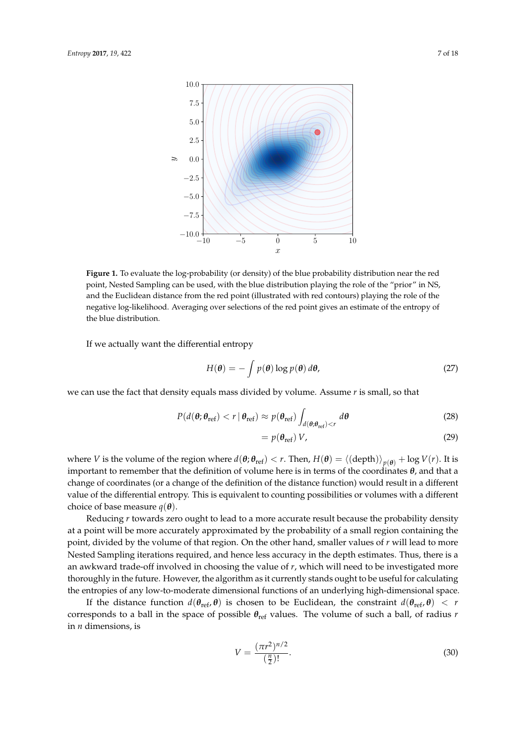<span id="page-6-0"></span>

**Figure 1.** To evaluate the log-probability (or density) of the blue probability distribution near the red point, Nested Sampling can be used, with the blue distribution playing the role of the "prior" in NS, and the Euclidean distance from the red point (illustrated with red contours) playing the role of the negative log-likelihood. Averaging over selections of the red point gives an estimate of the entropy of the blue distribution.

If we actually want the differential entropy

$$
H(\boldsymbol{\theta}) = -\int p(\boldsymbol{\theta}) \log p(\boldsymbol{\theta}) d\boldsymbol{\theta}, \qquad (27)
$$

we can use the fact that density equals mass divided by volume. Assume *r* is small, so that

$$
P(d(\boldsymbol{\theta}; \boldsymbol{\theta}_{\text{ref}}) < r \mid \boldsymbol{\theta}_{\text{ref}}) \approx p(\boldsymbol{\theta}_{\text{ref}}) \int_{d(\boldsymbol{\theta}; \boldsymbol{\theta}_{\text{ref}}) < r} d\boldsymbol{\theta} \tag{28}
$$

$$
=p(\theta_{\rm ref})V,\tag{29}
$$

where *V* is the volume of the region where  $d(\theta;\theta_{\rm ref}) < r$ . Then,  $H(\theta) = \langle (\text{depth}) \rangle_{p(\theta)} + \log V(r)$ . It is important to remember that the definition of volume here is in terms of the coordinates *θ*, and that a change of coordinates (or a change of the definition of the distance function) would result in a different value of the differential entropy. This is equivalent to counting possibilities or volumes with a different choice of base measure  $q(\theta)$ .

Reducing *r* towards zero ought to lead to a more accurate result because the probability density at a point will be more accurately approximated by the probability of a small region containing the point, divided by the volume of that region. On the other hand, smaller values of *r* will lead to more Nested Sampling iterations required, and hence less accuracy in the depth estimates. Thus, there is a an awkward trade-off involved in choosing the value of *r*, which will need to be investigated more thoroughly in the future. However, the algorithm as it currently stands ought to be useful for calculating the entropies of any low-to-moderate dimensional functions of an underlying high-dimensional space.

If the distance function  $d(\theta_{ref}, \theta)$  is chosen to be Euclidean, the constraint  $d(\theta_{ref}, \theta) < r$ corresponds to a ball in the space of possible *θ*ref values. The volume of such a ball, of radius *r* in *n* dimensions, is

$$
V = \frac{(\pi r^2)^{n/2}}{\left(\frac{n}{2}\right)!}.\tag{30}
$$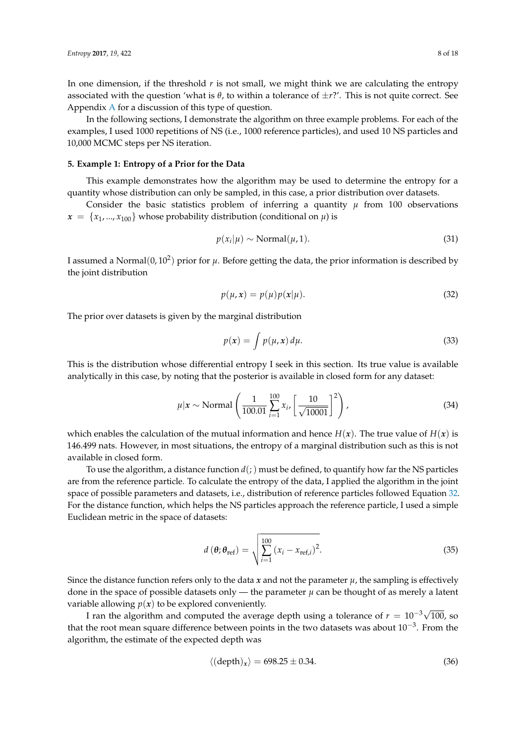In one dimension, if the threshold *r* is not small, we might think we are calculating the entropy associated with the question 'what is  $\theta$ , to within a tolerance of  $\pm r$ ?'. This is not quite correct. See Appendix [A](#page-14-0) for a discussion of this type of question.

In the following sections, I demonstrate the algorithm on three example problems. For each of the examples, I used 1000 repetitions of NS (i.e., 1000 reference particles), and used 10 NS particles and 10,000 MCMC steps per NS iteration.

# **5. Example 1: Entropy of a Prior for the Data**

This example demonstrates how the algorithm may be used to determine the entropy for a quantity whose distribution can only be sampled, in this case, a prior distribution over datasets.

Consider the basic statistics problem of inferring a quantity  $\mu$  from 100 observations  $x = \{x_1, ..., x_{100}\}$  whose probability distribution (conditional on  $\mu$ ) is

$$
p(x_i|\mu) \sim \text{Normal}(\mu, 1). \tag{31}
$$

I assumed a Normal $(0, 10^2)$  prior for  $\mu$ . Before getting the data, the prior information is described by the joint distribution

<span id="page-7-0"></span>
$$
p(\mu, x) = p(\mu)p(x|\mu).
$$
\n(32)

The prior over datasets is given by the marginal distribution

$$
p(x) = \int p(\mu, x) d\mu.
$$
 (33)

This is the distribution whose differential entropy I seek in this section. Its true value is available analytically in this case, by noting that the posterior is available in closed form for any dataset:

$$
\mu | \mathbf{x} \sim \text{Normal}\left(\frac{1}{100.01} \sum_{i=1}^{100} x_i, \left[\frac{10}{\sqrt{10001}}\right]^2\right),\tag{34}
$$

which enables the calculation of the mutual information and hence  $H(x)$ . The true value of  $H(x)$  is 146.499 nats. However, in most situations, the entropy of a marginal distribution such as this is not available in closed form.

To use the algorithm, a distance function  $d(i)$  must be defined, to quantify how far the NS particles are from the reference particle. To calculate the entropy of the data, I applied the algorithm in the joint space of possible parameters and datasets, i.e., distribution of reference particles followed Equation [32.](#page-7-0) For the distance function, which helps the NS particles approach the reference particle, I used a simple Euclidean metric in the space of datasets:

$$
d\left(\boldsymbol{\theta};\boldsymbol{\theta}_{\text{ref}}\right) = \sqrt{\sum_{i=1}^{100} \left(x_i - x_{\text{ref},i}\right)^2}.
$$
 (35)

Since the distance function refers only to the data  $x$  and not the parameter  $\mu$ , the sampling is effectively done in the space of possible datasets only — the parameter  $\mu$  can be thought of as merely a latent variable allowing  $p(x)$  to be explored conveniently.

I ran the algorithm and computed the average depth using a tolerance of  $r = 10^{-3}\sqrt{100}$ , so that the root mean square difference between points in the two datasets was about  $10^{-3}$ . From the algorithm, the estimate of the expected depth was

$$
\langle (\text{depth})_x \rangle = 698.25 \pm 0.34. \tag{36}
$$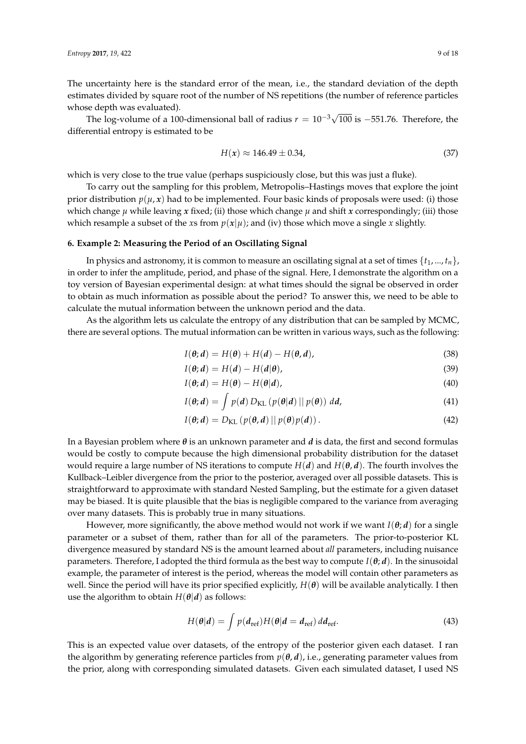The uncertainty here is the standard error of the mean, i.e., the standard deviation of the depth estimates divided by square root of the number of NS repetitions (the number of reference particles whose depth was evaluated).

The log-volume of a 100-dimensional ball of radius  $r = 10^{-3}\sqrt{100}$  is -551.76. Therefore, the differential entropy is estimated to be

$$
H(x) \approx 146.49 \pm 0.34,\tag{37}
$$

which is very close to the true value (perhaps suspiciously close, but this was just a fluke).

To carry out the sampling for this problem, Metropolis–Hastings moves that explore the joint prior distribution  $p(\mu, x)$  had to be implemented. Four basic kinds of proposals were used: (i) those which change  $\mu$  while leaving  $x$  fixed; (ii) those which change  $\mu$  and shift  $x$  correspondingly; (iii) those which resample a subset of the *xs* from  $p(x|\mu)$ ; and (iv) those which move a single *x* slightly.

#### **6. Example 2: Measuring the Period of an Oscillating Signal**

In physics and astronomy, it is common to measure an oscillating signal at a set of times {*t*1, ..., *tn*}, in order to infer the amplitude, period, and phase of the signal. Here, I demonstrate the algorithm on a toy version of Bayesian experimental design: at what times should the signal be observed in order to obtain as much information as possible about the period? To answer this, we need to be able to calculate the mutual information between the unknown period and the data.

As the algorithm lets us calculate the entropy of any distribution that can be sampled by MCMC, there are several options. The mutual information can be written in various ways, such as the following:

$$
I(\boldsymbol{\theta};\boldsymbol{d}) = H(\boldsymbol{\theta}) + H(\boldsymbol{d}) - H(\boldsymbol{\theta},\boldsymbol{d}),
$$
\n(38)

$$
I(\boldsymbol{\theta};\boldsymbol{d}) = H(\boldsymbol{d}) - H(\boldsymbol{d}|\boldsymbol{\theta}),
$$
\n(39)

$$
I(\boldsymbol{\theta};\boldsymbol{d}) = H(\boldsymbol{\theta}) - H(\boldsymbol{\theta}|\boldsymbol{d}),\tag{40}
$$

$$
I(\boldsymbol{\theta};\boldsymbol{d}) = \int p(\boldsymbol{d}) D_{\mathrm{KL}}\left(p(\boldsymbol{\theta}|\boldsymbol{d}) \mid p(\boldsymbol{\theta})\right) d\boldsymbol{d},\tag{41}
$$

$$
I(\boldsymbol{\theta};\boldsymbol{d}) = D_{\mathrm{KL}}\left(p(\boldsymbol{\theta},\boldsymbol{d})\left\|p(\boldsymbol{\theta})p(\boldsymbol{d})\right.\right).
$$
 (42)

In a Bayesian problem where *θ* is an unknown parameter and *d* is data, the first and second formulas would be costly to compute because the high dimensional probability distribution for the dataset would require a large number of NS iterations to compute  $H(d)$  and  $H(\theta, d)$ . The fourth involves the Kullback–Leibler divergence from the prior to the posterior, averaged over all possible datasets. This is straightforward to approximate with standard Nested Sampling, but the estimate for a given dataset may be biased. It is quite plausible that the bias is negligible compared to the variance from averaging over many datasets. This is probably true in many situations.

However, more significantly, the above method would not work if we want *I*(*θ*; *d*) for a single parameter or a subset of them, rather than for all of the parameters. The prior-to-posterior KL divergence measured by standard NS is the amount learned about *all* parameters, including nuisance parameters. Therefore, I adopted the third formula as the best way to compute  $I(\theta; d)$ . In the sinusoidal example, the parameter of interest is the period, whereas the model will contain other parameters as well. Since the period will have its prior specified explicitly,  $H(\theta)$  will be available analytically. I then use the algorithm to obtain  $H(\theta|d)$  as follows:

$$
H(\theta|d) = \int p(d_{\text{ref}})H(\theta|d = d_{\text{ref}})dd_{\text{ref}}.
$$
 (43)

This is an expected value over datasets, of the entropy of the posterior given each dataset. I ran the algorithm by generating reference particles from  $p(\theta, d)$ , i.e., generating parameter values from the prior, along with corresponding simulated datasets. Given each simulated dataset, I used NS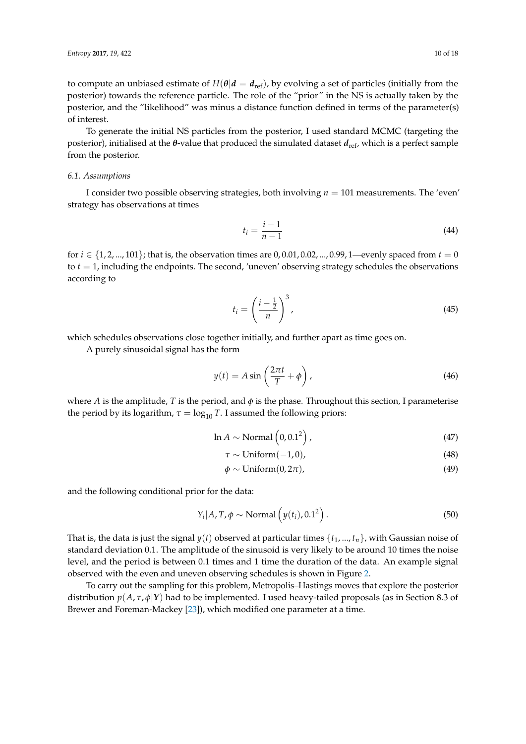to compute an unbiased estimate of  $H(\theta|d = d_{\text{ref}})$ , by evolving a set of particles (initially from the posterior) towards the reference particle. The role of the "prior" in the NS is actually taken by the posterior, and the "likelihood" was minus a distance function defined in terms of the parameter(s) of interest.

To generate the initial NS particles from the posterior, I used standard MCMC (targeting the posterior), initialised at the *θ*-value that produced the simulated dataset *d*<sub>ref</sub>, which is a perfect sample from the posterior.

#### *6.1. Assumptions*

I consider two possible observing strategies, both involving *n* = 101 measurements. The 'even' strategy has observations at times

$$
t_i = \frac{i-1}{n-1} \tag{44}
$$

for  $i \in \{1, 2, ..., 101\}$ ; that is, the observation times are  $0, 0.01, 0.02, ..., 0.99, 1$ —evenly spaced from  $t = 0$ to *t* = 1, including the endpoints. The second, 'uneven' observing strategy schedules the observations according to

$$
t_i = \left(\frac{i - \frac{1}{2}}{n}\right)^3,\tag{45}
$$

which schedules observations close together initially, and further apart as time goes on.

A purely sinusoidal signal has the form

$$
y(t) = A \sin\left(\frac{2\pi t}{T} + \phi\right),\tag{46}
$$

where *A* is the amplitude, *T* is the period, and  $\phi$  is the phase. Throughout this section, I parameterise the period by its logarithm,  $\tau = \log_{10} T$ . I assumed the following priors:

$$
\ln A \sim \text{Normal}\left(0, 0.1^2\right),\tag{47}
$$

$$
\tau \sim \text{Uniform}(-1, 0),\tag{48}
$$

$$
\phi \sim \text{Uniform}(0, 2\pi),\tag{49}
$$

and the following conditional prior for the data:

$$
Y_i | A, T, \phi \sim \text{Normal}\left(y(t_i), 0.1^2\right). \tag{50}
$$

That is, the data is just the signal  $y(t)$  observed at particular times  $\{t_1, ..., t_n\}$ , with Gaussian noise of standard deviation 0.1. The amplitude of the sinusoid is very likely to be around 10 times the noise level, and the period is between 0.1 times and 1 time the duration of the data. An example signal observed with the even and uneven observing schedules is shown in Figure [2.](#page-10-0)

To carry out the sampling for this problem, Metropolis–Hastings moves that explore the posterior distribution *p*(*A*, *τ*, *φ*|*Y*) had to be implemented. I used heavy-tailed proposals (as in Section 8.3 of Brewer and Foreman-Mackey [\[23\]](#page-17-3)), which modified one parameter at a time.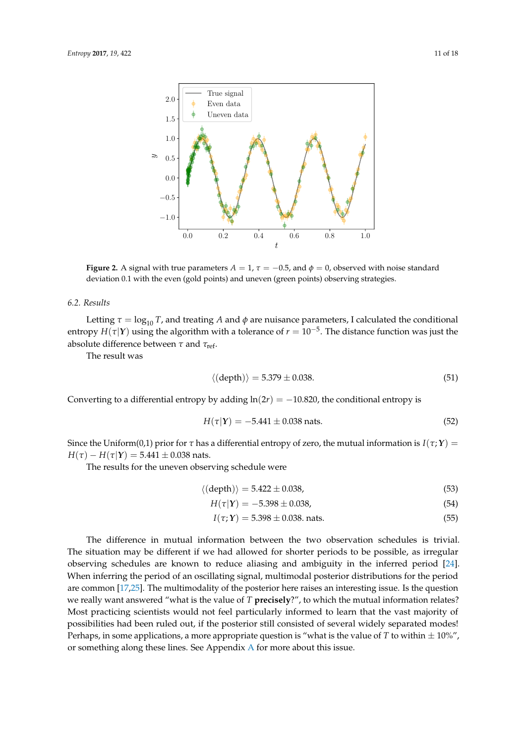<span id="page-10-0"></span>

**Figure 2.** A signal with true parameters  $A = 1$ ,  $\tau = -0.5$ , and  $\phi = 0$ , observed with noise standard deviation 0.1 with the even (gold points) and uneven (green points) observing strategies.

#### *6.2. Results*

Letting  $\tau = \log_{10} T$ , and treating *A* and  $\phi$  are nuisance parameters, I calculated the conditional entropy  $H(\tau|Y)$  using the algorithm with a tolerance of  $r = 10^{-5}$ . The distance function was just the absolute difference between *τ* and *τ*<sub>ref</sub>.

The result was

$$
\langle \text{(depth)} \rangle = 5.379 \pm 0.038. \tag{51}
$$

Converting to a differential entropy by adding  $ln(2r) = -10.820$ , the conditional entropy is

$$
H(\tau|Y) = -5.441 \pm 0.038 \text{ nats.}
$$
 (52)

Since the Uniform(0,1) prior for  $\tau$  has a differential entropy of zero, the mutual information is  $I(\tau; Y)$  =  $H(\tau) - H(\tau|Y) = 5.441 \pm 0.038$  nats.

The results for the uneven observing schedule were

$$
\langle \text{(depth)} \rangle = 5.422 \pm 0.038,\tag{53}
$$

$$
H(\tau|\mathbf{Y}) = -5.398 \pm 0.038,\tag{54}
$$

$$
I(\tau; Y) = 5.398 \pm 0.038
$$
 nats. (55)

The difference in mutual information between the two observation schedules is trivial. The situation may be different if we had allowed for shorter periods to be possible, as irregular observing schedules are known to reduce aliasing and ambiguity in the inferred period [\[24\]](#page-17-4). When inferring the period of an oscillating signal, multimodal posterior distributions for the period are common [\[17,](#page-16-14)[25\]](#page-17-5). The multimodality of the posterior here raises an interesting issue. Is the question we really want answered "what is the value of *T* **precisely**?", to which the mutual information relates? Most practicing scientists would not feel particularly informed to learn that the vast majority of possibilities had been ruled out, if the posterior still consisted of several widely separated modes! Perhaps, in some applications, a more appropriate question is "what is the value of  $T$  to within  $\pm 10\%$ ", or something along these lines. See Appendix [A](#page-14-0) for more about this issue.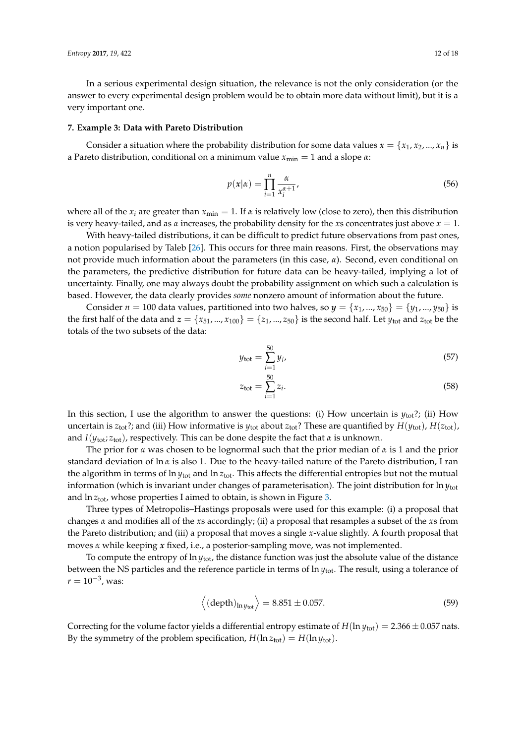In a serious experimental design situation, the relevance is not the only consideration (or the answer to every experimental design problem would be to obtain more data without limit), but it is a very important one.

#### **7. Example 3: Data with Pareto Distribution**

Consider a situation where the probability distribution for some data values  $x = \{x_1, x_2, ..., x_n\}$  is a Pareto distribution, conditional on a minimum value *x*min = 1 and a slope *α*:

$$
p(x|\alpha) = \prod_{i=1}^{n} \frac{\alpha}{x_i^{\alpha+1}},
$$
\n(56)

where all of the  $x_i$  are greater than  $x_{\text{min}} = 1$ . If  $\alpha$  is relatively low (close to zero), then this distribution is very heavy-tailed, and as  $\alpha$  increases, the probability density for the *x*s concentrates just above  $x = 1$ .

With heavy-tailed distributions, it can be difficult to predict future observations from past ones, a notion popularised by Taleb [\[26\]](#page-17-6). This occurs for three main reasons. First, the observations may not provide much information about the parameters (in this case, *α*). Second, even conditional on the parameters, the predictive distribution for future data can be heavy-tailed, implying a lot of uncertainty. Finally, one may always doubt the probability assignment on which such a calculation is based. However, the data clearly provides *some* nonzero amount of information about the future.

Consider  $n = 100$  data values, partitioned into two halves, so  $y = \{x_1, ..., x_{50}\} = \{y_1, ..., y_{50}\}$  is the first half of the data and  $z = \{x_{51},...,x_{100}\} = \{z_1,...,z_{50}\}$  is the second half. Let  $y_{\text{tot}}$  and  $z_{\text{tot}}$  be the totals of the two subsets of the data:

$$
y_{\text{tot}} = \sum_{i=1}^{50} y_i,
$$
 (57)

$$
z_{\text{tot}} = \sum_{i=1}^{50} z_i.
$$
 (58)

In this section, I use the algorithm to answer the questions: (i) How uncertain is *y*tot?; (ii) How uncertain is  $z_{tot}$ ?; and (iii) How informative is  $y_{tot}$  about  $z_{tot}$ ? These are quantified by  $H(y_{tot})$ ,  $H(z_{tot})$ , and *I*(*y*tot; *z*tot), respectively. This can be done despite the fact that *α* is unknown.

The prior for *α* was chosen to be lognormal such that the prior median of *α* is 1 and the prior standard deviation of ln *α* is also 1. Due to the heavy-tailed nature of the Pareto distribution, I ran the algorithm in terms of ln *y*tot and ln *z*tot. This affects the differential entropies but not the mutual information (which is invariant under changes of parameterisation). The joint distribution for ln *y*tot and  $\ln z_{\text{tot}}$ , whose properties I aimed to obtain, is shown in Figure [3.](#page-12-0)

Three types of Metropolis–Hastings proposals were used for this example: (i) a proposal that changes *α* and modifies all of the *x*s accordingly; (ii) a proposal that resamples a subset of the *x*s from the Pareto distribution; and (iii) a proposal that moves a single *x*-value slightly. A fourth proposal that moves *α* while keeping *x* fixed, i.e., a posterior-sampling move, was not implemented.

To compute the entropy of ln *y*tot, the distance function was just the absolute value of the distance between the NS particles and the reference particle in terms of ln *y*tot. The result, using a tolerance of  $r = 10^{-3}$ , was:

$$
\left\langle \left(\text{depth}\right)_{\ln y_{\text{tot}}}\right\rangle = 8.851 \pm 0.057. \tag{59}
$$

Correcting for the volume factor yields a differential entropy estimate of  $H(\ln y_{\text{tot}}) = 2.366 \pm 0.057$  nats. By the symmetry of the problem specification,  $H(\ln z_{\text{tot}}) = H(\ln y_{\text{tot}})$ .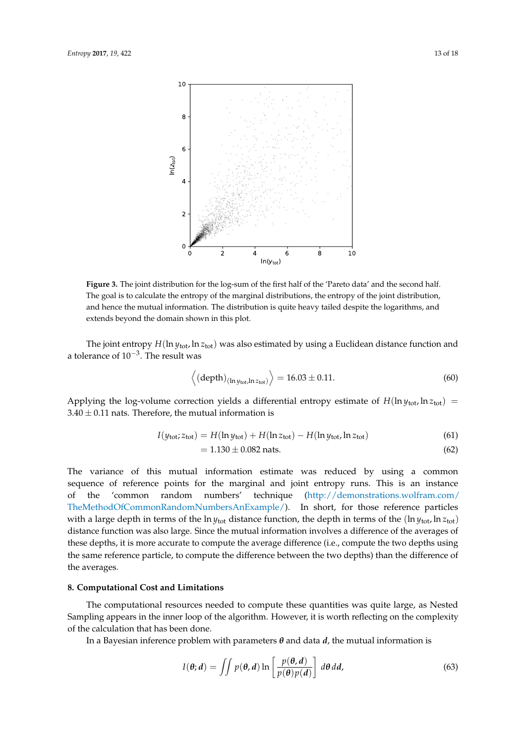<span id="page-12-0"></span>

**Figure 3.** The joint distribution for the log-sum of the first half of the 'Pareto data' and the second half. The goal is to calculate the entropy of the marginal distributions, the entropy of the joint distribution, and hence the mutual information. The distribution is quite heavy tailed despite the logarithms, and extends beyond the domain shown in this plot.

The joint entropy *H*(ln *y*tot, ln *z*tot) was also estimated by using a Euclidean distance function and a tolerance of 10−<sup>3</sup> . The result was

$$
\left\langle \left(\text{depth}\right)_{\left(\ln y_{\text{tot}}, \ln z_{\text{tot}}\right)} \right\rangle = 16.03 \pm 0.11. \tag{60}
$$

Applying the log-volume correction yields a differential entropy estimate of  $H(\ln v_{\text{tot}})$  ln  $z_{\text{tot}}$ ) =  $3.40 \pm 0.11$  nats. Therefore, the mutual information is

$$
I(y_{\text{tot}}; z_{\text{tot}}) = H(\ln y_{\text{tot}}) + H(\ln z_{\text{tot}}) - H(\ln y_{\text{tot}}, \ln z_{\text{tot}})
$$
(61)

$$
= 1.130 \pm 0.082 \text{ nats.}
$$
 (62)

The variance of this mutual information estimate was reduced by using a common sequence of reference points for the marginal and joint entropy runs. This is an instance of the 'common random numbers' technique [\(http://demonstrations.wolfram.com/](http://demonstrations.wolfram.com/TheMethodOfCommonRandomNumbersAnExample/) [TheMethodOfCommonRandomNumbersAnExample/\)](http://demonstrations.wolfram.com/TheMethodOfCommonRandomNumbersAnExample/). In short, for those reference particles with a large depth in terms of the  $\ln y_{\text{tot}}$  distance function, the depth in terms of the ( $\ln y_{\text{tot}}$ ,  $\ln z_{\text{tot}}$ ) distance function was also large. Since the mutual information involves a difference of the averages of these depths, it is more accurate to compute the average difference (i.e., compute the two depths using the same reference particle, to compute the difference between the two depths) than the difference of the averages.

## **8. Computational Cost and Limitations**

The computational resources needed to compute these quantities was quite large, as Nested Sampling appears in the inner loop of the algorithm. However, it is worth reflecting on the complexity of the calculation that has been done.

In a Bayesian inference problem with parameters  $\theta$  and data  $d$ , the mutual information is

<span id="page-12-1"></span>
$$
I(\theta; d) = \iint p(\theta, d) \ln \left[ \frac{p(\theta, d)}{p(\theta) p(d)} \right] d\theta d d,
$$
 (63)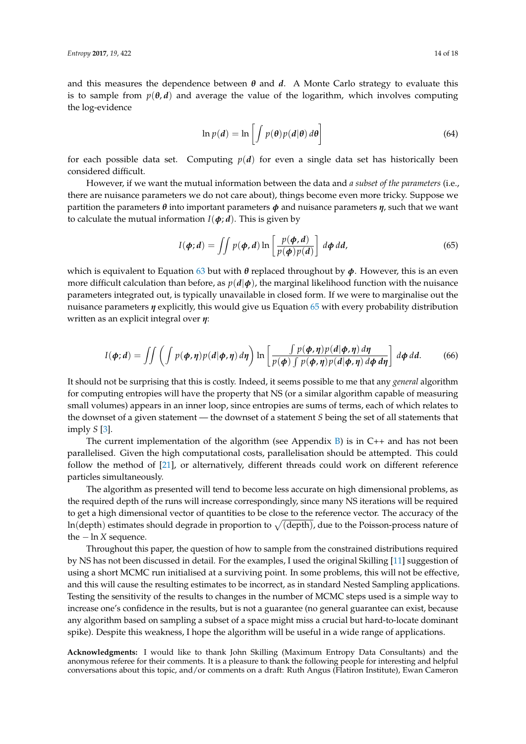and this measures the dependence between  $\theta$  and  $\dot{d}$ . A Monte Carlo strategy to evaluate this is to sample from  $p(\theta, d)$  and average the value of the logarithm, which involves computing the log-evidence

$$
\ln p(d) = \ln \left[ \int p(\theta) p(d|\theta) d\theta \right]
$$
 (64)

for each possible data set. Computing  $p(d)$  for even a single data set has historically been considered difficult.

However, if we want the mutual information between the data and *a subset of the parameters* (i.e., there are nuisance parameters we do not care about), things become even more tricky. Suppose we partition the parameters *θ* into important parameters *φ* and nuisance parameters *η*, such that we want to calculate the mutual information  $I(\phi; d)$ . This is given by

<span id="page-13-0"></span>
$$
I(\boldsymbol{\phi};\boldsymbol{d}) = \iint p(\boldsymbol{\phi},\boldsymbol{d}) \ln \left[ \frac{p(\boldsymbol{\phi},\boldsymbol{d})}{p(\boldsymbol{\phi})p(\boldsymbol{d})} \right] d\boldsymbol{\phi} d\boldsymbol{d}, \tag{65}
$$

which is equivalent to Equation [63](#page-12-1) but with *θ* replaced throughout by *φ*. However, this is an even more difficult calculation than before, as  $p(d|\phi)$ , the marginal likelihood function with the nuisance parameters integrated out, is typically unavailable in closed form. If we were to marginalise out the nuisance parameters *η* explicitly, this would give us Equation [65](#page-13-0) with every probability distribution written as an explicit integral over *η*:

$$
I(\boldsymbol{\phi};\boldsymbol{d}) = \iint \left( \int p(\boldsymbol{\phi},\boldsymbol{\eta}) p(\boldsymbol{d}|\boldsymbol{\phi},\boldsymbol{\eta}) \, d\boldsymbol{\eta} \right) \ln \left[ \frac{\int p(\boldsymbol{\phi},\boldsymbol{\eta}) p(\boldsymbol{d}|\boldsymbol{\phi},\boldsymbol{\eta}) \, d\boldsymbol{\eta}}{p(\boldsymbol{\phi}) \int p(\boldsymbol{\phi},\boldsymbol{\eta}) p(\boldsymbol{d}|\boldsymbol{\phi},\boldsymbol{\eta}) \, d\boldsymbol{\phi} \, d\boldsymbol{\eta}} \right] \, d\boldsymbol{\phi} \, d\boldsymbol{d}.
$$
 (66)

It should not be surprising that this is costly. Indeed, it seems possible to me that any *general* algorithm for computing entropies will have the property that NS (or a similar algorithm capable of measuring small volumes) appears in an inner loop, since entropies are sums of terms, each of which relates to the downset of a given statement — the downset of a statement *S* being the set of all statements that imply *S* [\[3\]](#page-16-2).

The current implementation of the algorithm (see Appendix  $B$ ) is in  $C++$  and has not been parallelised. Given the high computational costs, parallelisation should be attempted. This could follow the method of [\[21\]](#page-17-1), or alternatively, different threads could work on different reference particles simultaneously.

The algorithm as presented will tend to become less accurate on high dimensional problems, as the required depth of the runs will increase correspondingly, since many NS iterations will be required to get a high dimensional vector of quantities to be close to the reference vector. The accuracy of the ln(depth) estimates should degrade in proportion to  $\sqrt{{\rm (depth)}}$ , due to the Poisson-process nature of the  $- \ln X$  sequence.

Throughout this paper, the question of how to sample from the constrained distributions required by NS has not been discussed in detail. For the examples, I used the original Skilling [\[11\]](#page-16-10) suggestion of using a short MCMC run initialised at a surviving point. In some problems, this will not be effective, and this will cause the resulting estimates to be incorrect, as in standard Nested Sampling applications. Testing the sensitivity of the results to changes in the number of MCMC steps used is a simple way to increase one's confidence in the results, but is not a guarantee (no general guarantee can exist, because any algorithm based on sampling a subset of a space might miss a crucial but hard-to-locate dominant spike). Despite this weakness, I hope the algorithm will be useful in a wide range of applications.

**Acknowledgments:** I would like to thank John Skilling (Maximum Entropy Data Consultants) and the anonymous referee for their comments. It is a pleasure to thank the following people for interesting and helpful conversations about this topic, and/or comments on a draft: Ruth Angus (Flatiron Institute), Ewan Cameron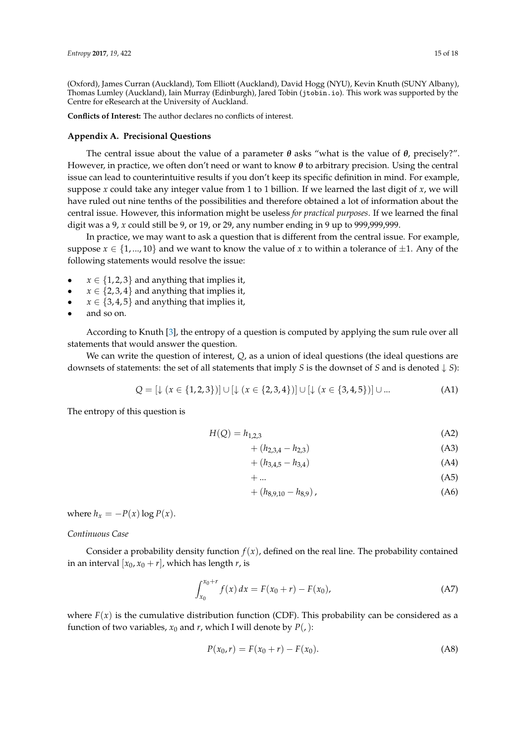(Oxford), James Curran (Auckland), Tom Elliott (Auckland), David Hogg (NYU), Kevin Knuth (SUNY Albany), Thomas Lumley (Auckland), Iain Murray (Edinburgh), Jared Tobin (jtobin.io). This work was supported by the Centre for eResearch at the University of Auckland.

**Conflicts of Interest:** The author declares no conflicts of interest.

# <span id="page-14-0"></span>**Appendix A. Precisional Questions**

The central issue about the value of a parameter  $\theta$  asks "what is the value of  $\theta$ , precisely?". However, in practice, we often don't need or want to know *θ* to arbitrary precision. Using the central issue can lead to counterintuitive results if you don't keep its specific definition in mind. For example, suppose *x* could take any integer value from 1 to 1 billion. If we learned the last digit of *x*, we will have ruled out nine tenths of the possibilities and therefore obtained a lot of information about the central issue. However, this information might be useless *for practical purposes*. If we learned the final digit was a 9, *x* could still be 9, or 19, or 29, any number ending in 9 up to 999,999,999.

In practice, we may want to ask a question that is different from the central issue. For example, suppose  $x \in \{1, ..., 10\}$  and we want to know the value of x to within a tolerance of  $\pm 1$ . Any of the following statements would resolve the issue:

- $x \in \{1, 2, 3\}$  and anything that implies it,
- $x \in \{2, 3, 4\}$  and anything that implies it,
- $x \in \{3, 4, 5\}$  and anything that implies it,
- and so on.

According to Knuth [\[3\]](#page-16-2), the entropy of a question is computed by applying the sum rule over all statements that would answer the question.

We can write the question of interest, *Q*, as a union of ideal questions (the ideal questions are downsets of statements: the set of all statements that imply *S* is the downset of *S* and is denoted  $\downarrow$  *S*):

$$
Q = [\downarrow (x \in \{1, 2, 3\})] \cup [\downarrow (x \in \{2, 3, 4\})] \cup [\downarrow (x \in \{3, 4, 5\})] \cup ...
$$
 (A1)

The entropy of this question is

$$
H(Q) = h_{1,2,3} \tag{A2}
$$

$$
+ (h_{2,3,4} - h_{2,3}) \tag{A3}
$$

$$
+ (h_{3,4,5} - h_{3,4}) \tag{A4}
$$

$$
+\dots \hspace{2.6cm} (A5)
$$

 $+(h_{8,9,10}-h_{8,9}),$  (A6)

where  $h_x = -P(x) \log P(x)$ .

# *Continuous Case*

Consider a probability density function  $f(x)$ , defined on the real line. The probability contained in an interval  $[x_0, x_0 + r]$ , which has length *r*, is

$$
\int_{x_0}^{x_0+r} f(x) dx = F(x_0+r) - F(x_0),
$$
 (A7)

where  $F(x)$  is the cumulative distribution function (CDF). This probability can be considered as a function of two variables,  $x_0$  and  $r$ , which I will denote by  $P(.)$ :

$$
P(x_0, r) = F(x_0 + r) - F(x_0).
$$
 (A8)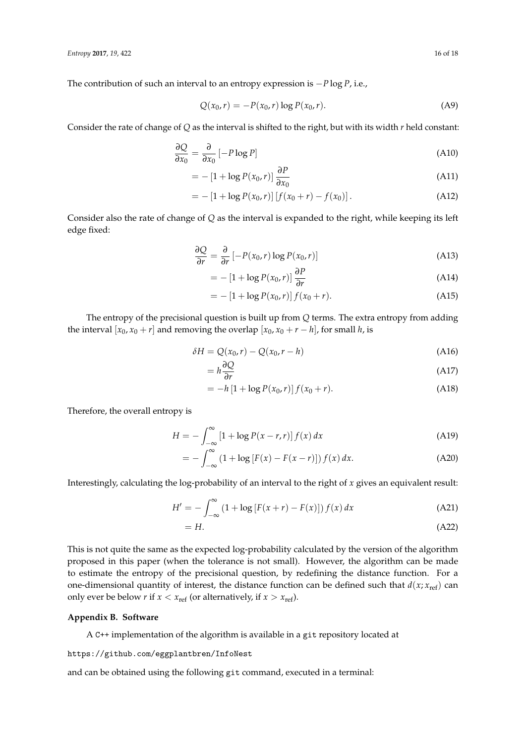The contribution of such an interval to an entropy expression is −*P* log *P*, i.e.,

$$
Q(x_0, r) = -P(x_0, r) \log P(x_0, r).
$$
 (A9)

Consider the rate of change of *Q* as the interval is shifted to the right, but with its width *r* held constant:

$$
\frac{\partial Q}{\partial x_0} = \frac{\partial}{\partial x_0} \left[ -P \log P \right] \tag{A10}
$$

$$
= -\left[1 + \log P(x_0, r)\right] \frac{\partial P}{\partial x_0} \tag{A11}
$$

$$
= -[1 + \log P(x_0, r)] [f(x_0 + r) - f(x_0)]. \tag{A12}
$$

Consider also the rate of change of *Q* as the interval is expanded to the right, while keeping its left edge fixed:

$$
\frac{\partial Q}{\partial r} = \frac{\partial}{\partial r} \left[ -P(x_0, r) \log P(x_0, r) \right]
$$
(A13)

$$
= -\left[1 + \log P(x_0, r)\right] \frac{\partial P}{\partial r}
$$
\n(A14)

$$
= -[1 + \log P(x_0, r)] f(x_0 + r).
$$
 (A15)

The entropy of the precisional question is built up from *Q* terms. The extra entropy from adding the interval  $[x_0, x_0 + r]$  and removing the overlap  $[x_0, x_0 + r - h]$ , for small *h*, is

$$
\delta H = Q(x_0, r) - Q(x_0, r - h) \tag{A16}
$$

$$
= h \frac{\partial Q}{\partial r} \tag{A17}
$$

$$
= -h\left[1 + \log P(x_0, r)\right]f(x_0 + r). \tag{A18}
$$

Therefore, the overall entropy is

$$
H = -\int_{-\infty}^{\infty} \left[1 + \log P(x - r, r)\right] f(x) dx \tag{A19}
$$

$$
= -\int_{-\infty}^{\infty} (1 + \log [F(x) - F(x - r)]) f(x) dx.
$$
 (A20)

Interestingly, calculating the log-probability of an interval to the right of *x* gives an equivalent result:

$$
H' = -\int_{-\infty}^{\infty} \left(1 + \log\left[F(x+r) - F(x)\right]\right) f(x) dx \tag{A21}
$$

$$
=H.\tag{A22}
$$

This is not quite the same as the expected log-probability calculated by the version of the algorithm proposed in this paper (when the tolerance is not small). However, the algorithm can be made to estimate the entropy of the precisional question, by redefining the distance function. For a one-dimensional quantity of interest, the distance function can be defined such that  $d(x; x_{ref})$  can only ever be below *r* if  $x < x_{ref}$  (or alternatively, if  $x > x_{ref}$ ).

# <span id="page-15-0"></span>**Appendix B. Software**

A C++ implementation of the algorithm is available in a git repository located at

https://github.com/eggplantbren/InfoNest

and can be obtained using the following git command, executed in a terminal: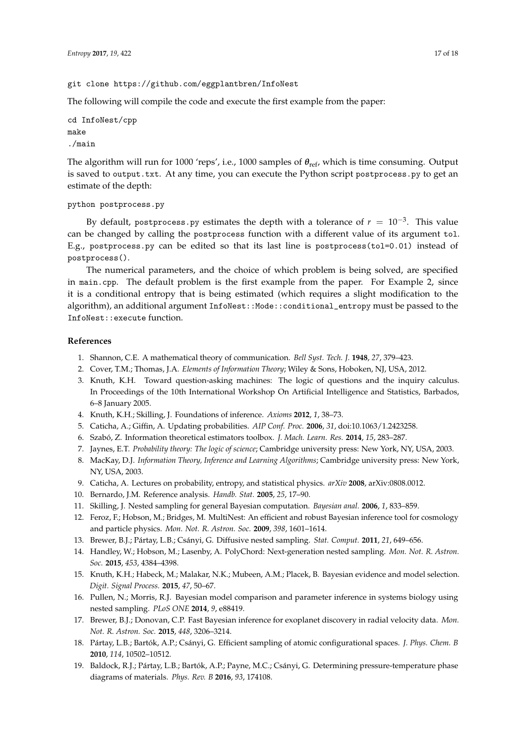# git clone https://github.com/eggplantbren/InfoNest

The following will compile the code and execute the first example from the paper:

```
cd InfoNest/cpp
make
./main
```
The algorithm will run for 1000 'reps', i.e., 1000 samples of *θ*ref, which is time consuming. Output is saved to output.txt. At any time, you can execute the Python script postprocess.py to get an estimate of the depth:

```
python postprocess.py
```
By default, postprocess.py estimates the depth with a tolerance of  $r\,=\,10^{-3}.$  This value can be changed by calling the postprocess function with a different value of its argument tol. E.g., postprocess.py can be edited so that its last line is postprocess(tol=0.01) instead of postprocess().

The numerical parameters, and the choice of which problem is being solved, are specified in main.cpp. The default problem is the first example from the paper. For Example 2, since it is a conditional entropy that is being estimated (which requires a slight modification to the algorithm), an additional argument InfoNest::Mode::conditional\_entropy must be passed to the InfoNest::execute function.

# **References**

- <span id="page-16-0"></span>1. Shannon, C.E. A mathematical theory of communication. *Bell Syst. Tech. J.* **1948**, *27*, 379–423.
- <span id="page-16-1"></span>2. Cover, T.M.; Thomas, J.A. *Elements of Information Theory*; Wiley & Sons, Hoboken, NJ, USA, 2012.
- <span id="page-16-2"></span>3. Knuth, K.H. Toward question-asking machines: The logic of questions and the inquiry calculus. In Proceedings of the 10th International Workshop On Artificial Intelligence and Statistics, Barbados, 6–8 January 2005.
- <span id="page-16-3"></span>4. Knuth, K.H.; Skilling, J. Foundations of inference. *Axioms* **2012**, *1*, 38–73.
- <span id="page-16-4"></span>5. Caticha, A.; Giffin, A. Updating probabilities. *AIP Conf. Proc.* **2006**, *31*, doi:10.1063/1.2423258.
- <span id="page-16-5"></span>6. Szabó, Z. Information theoretical estimators toolbox. *J. Mach. Learn. Res.* **2014**, *15*, 283–287.
- <span id="page-16-6"></span>7. Jaynes, E.T. *Probability theory: The logic of science*; Cambridge university press: New York, NY, USA, 2003.
- <span id="page-16-7"></span>8. MacKay, D.J. *Information Theory, Inference and Learning Algorithms*; Cambridge university press: New York, NY, USA, 2003.
- <span id="page-16-8"></span>9. Caticha, A. Lectures on probability, entropy, and statistical physics. *arXiv* **2008**, arXiv:0808.0012.
- <span id="page-16-9"></span>10. Bernardo, J.M. Reference analysis. *Handb. Stat.* **2005**, *25*, 17–90.
- <span id="page-16-10"></span>11. Skilling, J. Nested sampling for general Bayesian computation. *Bayesian anal.* **2006**, *1*, 833–859.
- <span id="page-16-11"></span>12. Feroz, F.; Hobson, M.; Bridges, M. MultiNest: An efficient and robust Bayesian inference tool for cosmology and particle physics. *Mon. Not. R. Astron. Soc.* **2009**, *398*, 1601–1614.
- 13. Brewer, B.J.; Pártay, L.B.; Csányi, G. Diffusive nested sampling. *Stat. Comput.* **2011**, *21*, 649–656.
- <span id="page-16-12"></span>14. Handley, W.; Hobson, M.; Lasenby, A. PolyChord: Next-generation nested sampling. *Mon. Not. R. Astron. Soc.* **2015**, *453*, 4384–4398.
- <span id="page-16-13"></span>15. Knuth, K.H.; Habeck, M.; Malakar, N.K.; Mubeen, A.M.; Placek, B. Bayesian evidence and model selection. *Digit. Signal Process.* **2015**, *47*, 50–67.
- 16. Pullen, N.; Morris, R.J. Bayesian model comparison and parameter inference in systems biology using nested sampling. *PLoS ONE* **2014**, *9*, e88419.
- <span id="page-16-14"></span>17. Brewer, B.J.; Donovan, C.P. Fast Bayesian inference for exoplanet discovery in radial velocity data. *Mon. Not. R. Astron. Soc.* **2015**, *448*, 3206–3214.
- <span id="page-16-15"></span>18. Pártay, L.B.; Bartók, A.P.; Csányi, G. Efficient sampling of atomic configurational spaces. *J. Phys. Chem. B* **2010**, *114*, 10502–10512.
- 19. Baldock, R.J.; Pártay, L.B.; Bartók, A.P.; Payne, M.C.; Csányi, G. Determining pressure-temperature phase diagrams of materials. *Phys. Rev. B* **2016**, *93*, 174108.